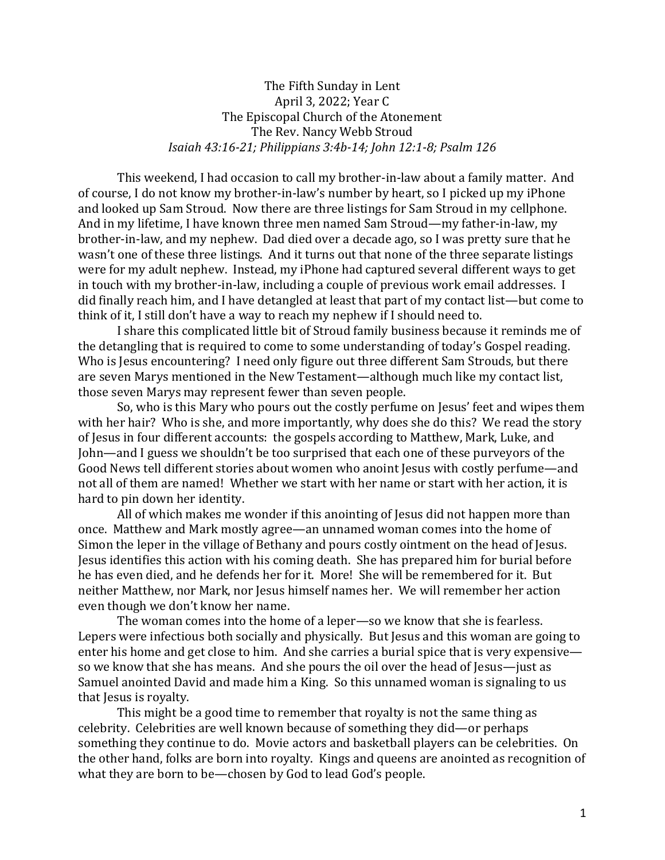The Fifth Sunday in Lent April 3, 2022; Year C The Episcopal Church of the Atonement The Rev. Nancy Webb Stroud *Isaiah 43:16-21; Philippians 3:4b-14; John 12:1-8; Psalm 126*

This weekend, I had occasion to call my brother-in-law about a family matter. And of course, I do not know my brother-in-law's number by heart, so I picked up my iPhone and looked up Sam Stroud. Now there are three listings for Sam Stroud in my cellphone. And in my lifetime, I have known three men named Sam Stroud—my father-in-law, my brother-in-law, and my nephew. Dad died over a decade ago, so I was pretty sure that he wasn't one of these three listings. And it turns out that none of the three separate listings were for my adult nephew. Instead, my iPhone had captured several different ways to get in touch with my brother-in-law, including a couple of previous work email addresses. I did finally reach him, and I have detangled at least that part of my contact list—but come to think of it, I still don't have a way to reach my nephew if I should need to.

I share this complicated little bit of Stroud family business because it reminds me of the detangling that is required to come to some understanding of today's Gospel reading. Who is Jesus encountering? I need only figure out three different Sam Strouds, but there are seven Marys mentioned in the New Testament—although much like my contact list, those seven Marys may represent fewer than seven people.

So, who is this Mary who pours out the costly perfume on Jesus' feet and wipes them with her hair? Who is she, and more importantly, why does she do this? We read the story of Jesus in four different accounts: the gospels according to Matthew, Mark, Luke, and John—and I guess we shouldn't be too surprised that each one of these purveyors of the Good News tell different stories about women who anoint Jesus with costly perfume—and not all of them are named! Whether we start with her name or start with her action, it is hard to pin down her identity.

All of which makes me wonder if this anointing of Jesus did not happen more than once. Matthew and Mark mostly agree—an unnamed woman comes into the home of Simon the leper in the village of Bethany and pours costly ointment on the head of Jesus. Jesus identifies this action with his coming death. She has prepared him for burial before he has even died, and he defends her for it. More! She will be remembered for it. But neither Matthew, nor Mark, nor Jesus himself names her. We will remember her action even though we don't know her name.

The woman comes into the home of a leper—so we know that she is fearless. Lepers were infectious both socially and physically. But Jesus and this woman are going to enter his home and get close to him. And she carries a burial spice that is very expensive so we know that she has means. And she pours the oil over the head of Jesus—just as Samuel anointed David and made him a King. So this unnamed woman is signaling to us that Jesus is royalty.

This might be a good time to remember that royalty is not the same thing as celebrity. Celebrities are well known because of something they did—or perhaps something they continue to do. Movie actors and basketball players can be celebrities. On the other hand, folks are born into royalty. Kings and queens are anointed as recognition of what they are born to be—chosen by God to lead God's people.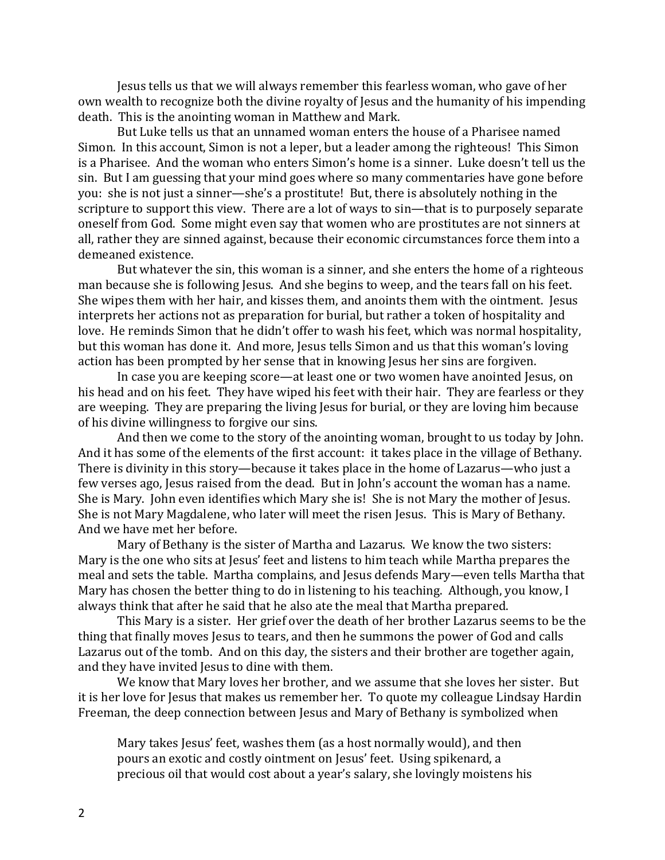Jesus tells us that we will always remember this fearless woman, who gave of her own wealth to recognize both the divine royalty of Jesus and the humanity of his impending death. This is the anointing woman in Matthew and Mark.

But Luke tells us that an unnamed woman enters the house of a Pharisee named Simon. In this account, Simon is not a leper, but a leader among the righteous! This Simon is a Pharisee. And the woman who enters Simon's home is a sinner. Luke doesn't tell us the sin. But I am guessing that your mind goes where so many commentaries have gone before you: she is not just a sinner—she's a prostitute! But, there is absolutely nothing in the scripture to support this view. There are a lot of ways to sin—that is to purposely separate oneself from God. Some might even say that women who are prostitutes are not sinners at all, rather they are sinned against, because their economic circumstances force them into a demeaned existence.

But whatever the sin, this woman is a sinner, and she enters the home of a righteous man because she is following Jesus. And she begins to weep, and the tears fall on his feet. She wipes them with her hair, and kisses them, and anoints them with the ointment. Jesus interprets her actions not as preparation for burial, but rather a token of hospitality and love. He reminds Simon that he didn't offer to wash his feet, which was normal hospitality, but this woman has done it. And more, Jesus tells Simon and us that this woman's loving action has been prompted by her sense that in knowing Jesus her sins are forgiven.

In case you are keeping score—at least one or two women have anointed Jesus, on his head and on his feet. They have wiped his feet with their hair. They are fearless or they are weeping. They are preparing the living Jesus for burial, or they are loving him because of his divine willingness to forgive our sins.

And then we come to the story of the anointing woman, brought to us today by John. And it has some of the elements of the first account: it takes place in the village of Bethany. There is divinity in this story—because it takes place in the home of Lazarus—who just a few verses ago, Jesus raised from the dead. But in John's account the woman has a name. She is Mary. John even identifies which Mary she is! She is not Mary the mother of Jesus. She is not Mary Magdalene, who later will meet the risen Jesus. This is Mary of Bethany. And we have met her before.

Mary of Bethany is the sister of Martha and Lazarus. We know the two sisters: Mary is the one who sits at Jesus' feet and listens to him teach while Martha prepares the meal and sets the table. Martha complains, and Jesus defends Mary—even tells Martha that Mary has chosen the better thing to do in listening to his teaching. Although, you know, I always think that after he said that he also ate the meal that Martha prepared.

This Mary is a sister. Her grief over the death of her brother Lazarus seems to be the thing that finally moves Jesus to tears, and then he summons the power of God and calls Lazarus out of the tomb. And on this day, the sisters and their brother are together again, and they have invited Jesus to dine with them.

We know that Mary loves her brother, and we assume that she loves her sister. But it is her love for Jesus that makes us remember her. To quote my colleague Lindsay Hardin Freeman, the deep connection between Jesus and Mary of Bethany is symbolized when

Mary takes Jesus' feet, washes them (as a host normally would), and then pours an exotic and costly ointment on Jesus' feet. Using spikenard, a precious oil that would cost about a year's salary, she lovingly moistens his